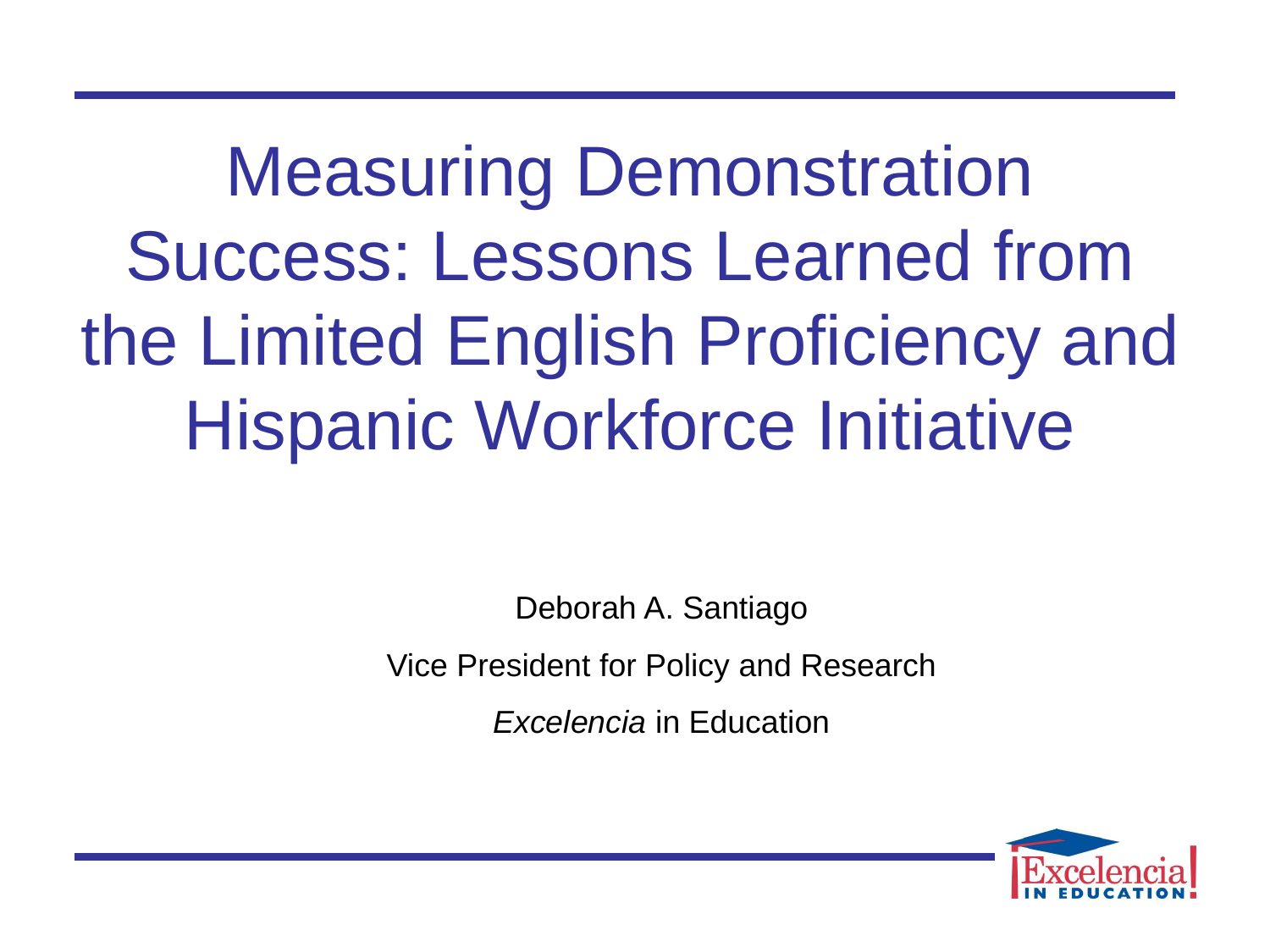Measuring Demonstration Success: Lessons Learned from the Limited English Proficiency and Hispanic Workforce Initiative

> Deborah A. Santiago Vice President for Policy and Research

*Excelencia* in Education

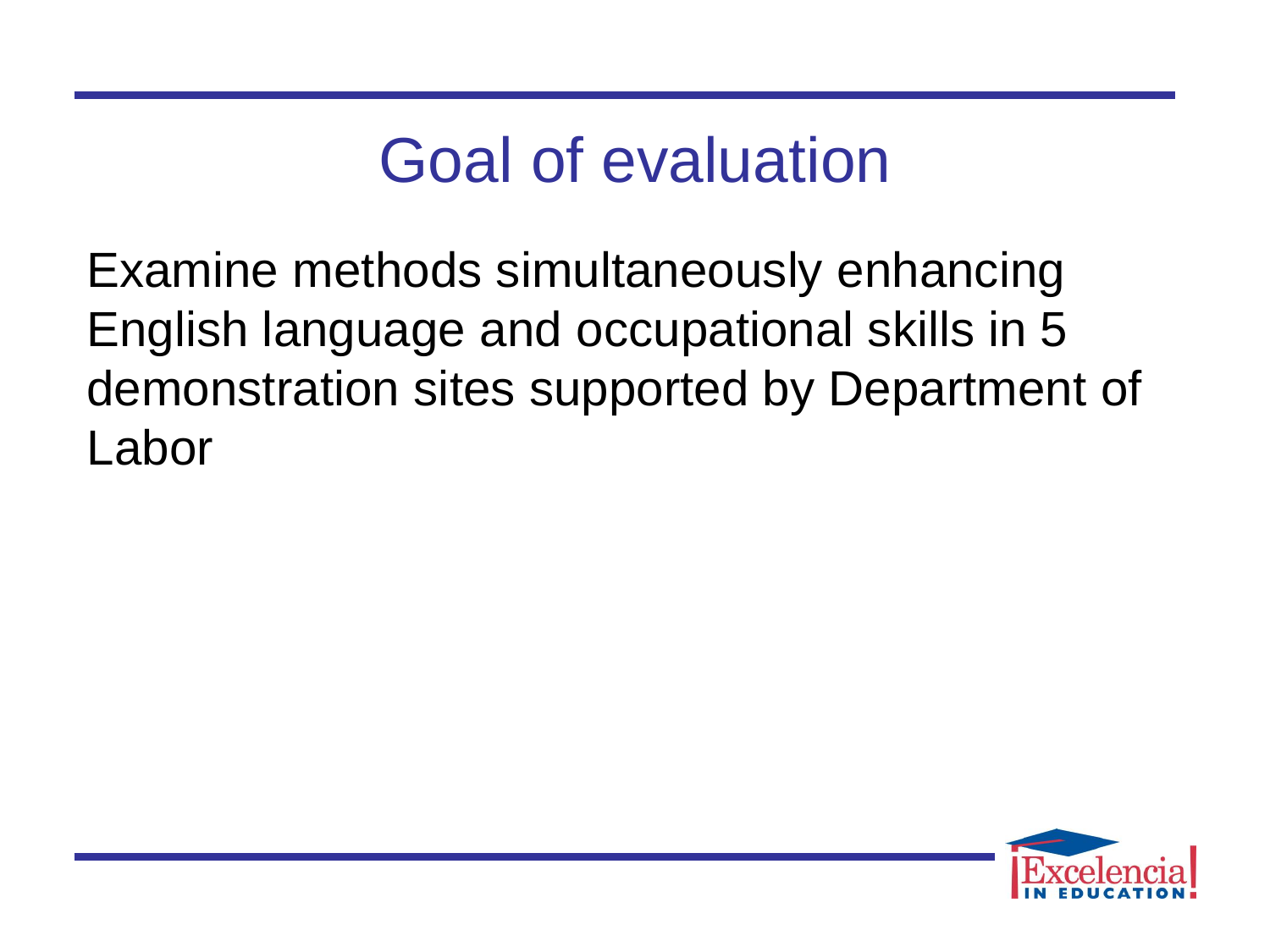# Goal of evaluation

 English language and occupational skills in 5 Examine methods simultaneously enhancing demonstration sites supported by Department of Labor

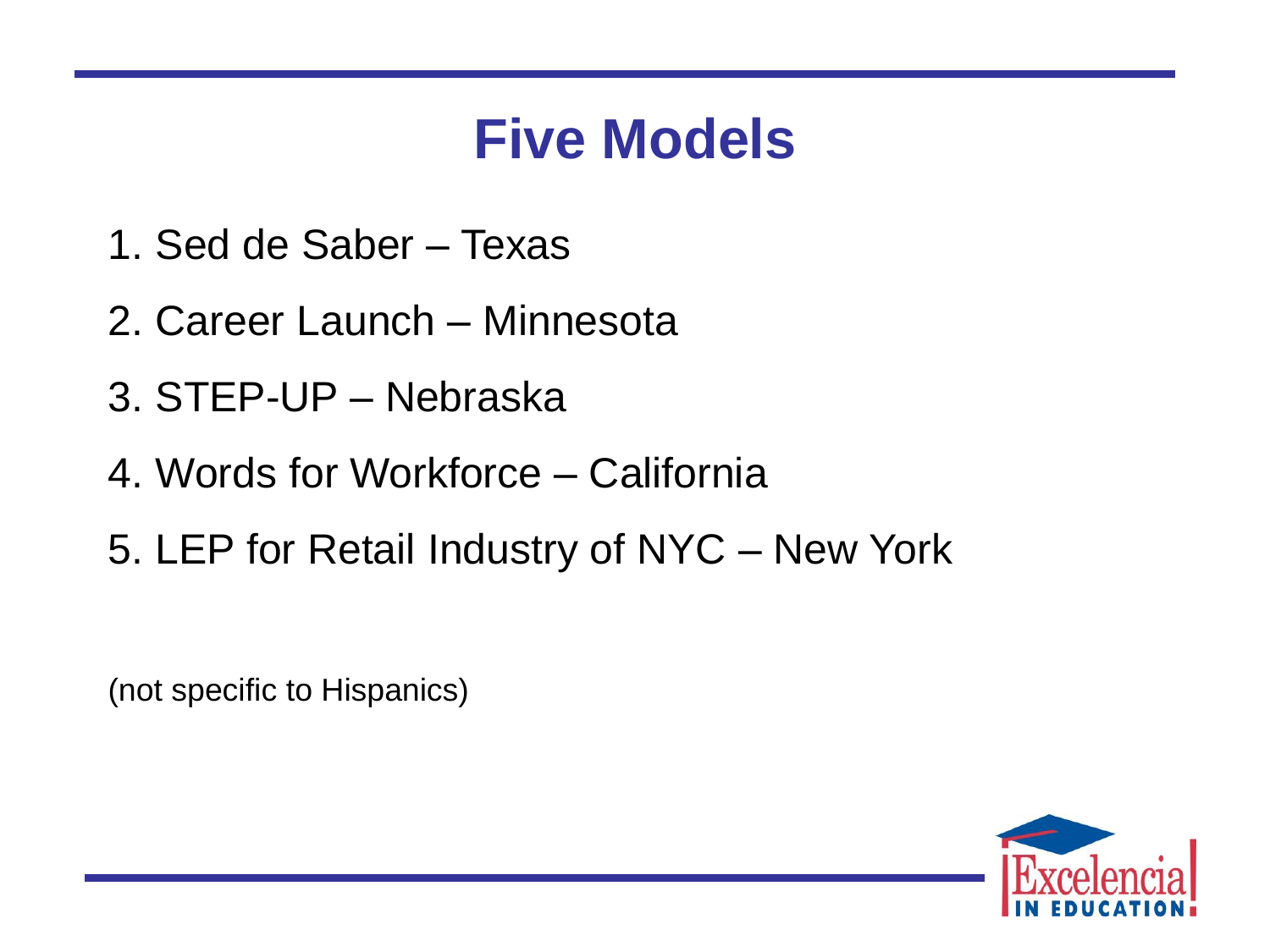### **Five Models**

- 1. Sed de Saber Texas
- 2. Career Launch Minnesota
- 3. STEP-UP Nebraska
- 4. Words for Workforce California
- 5. LEP for Retail Industry of NYC New York

(not specific to Hispanics)

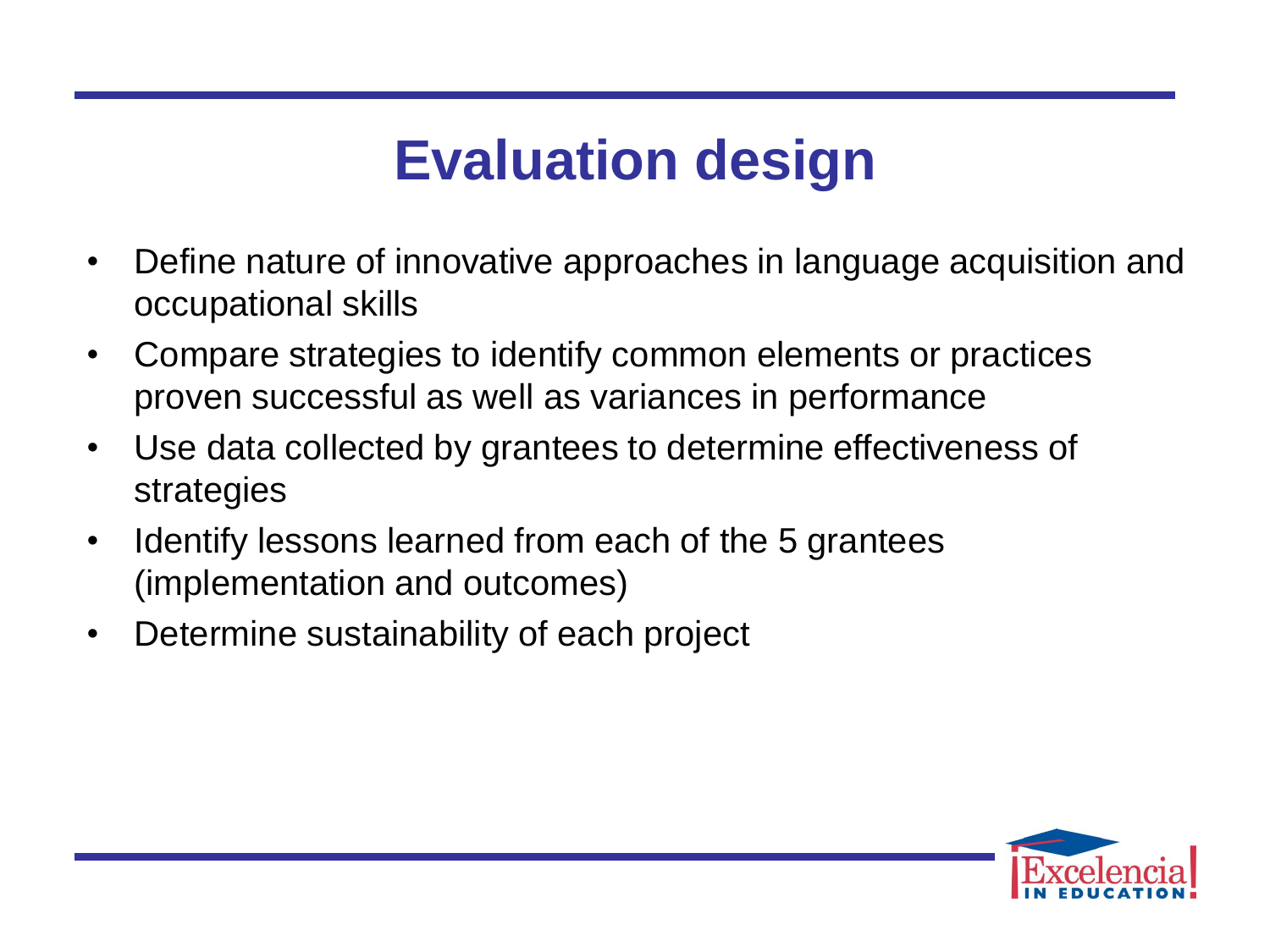## **Evaluation design**

- Define nature of innovative approaches in language acquisition and occupational skills
- • Compare strategies to identify common elements or practices proven successful as well as variances in performance
- • Use data collected by grantees to determine effectiveness of strategies
- Identify lessons learned from each of the 5 grantees (implementation and outcomes)
- Determine sustainability of each project

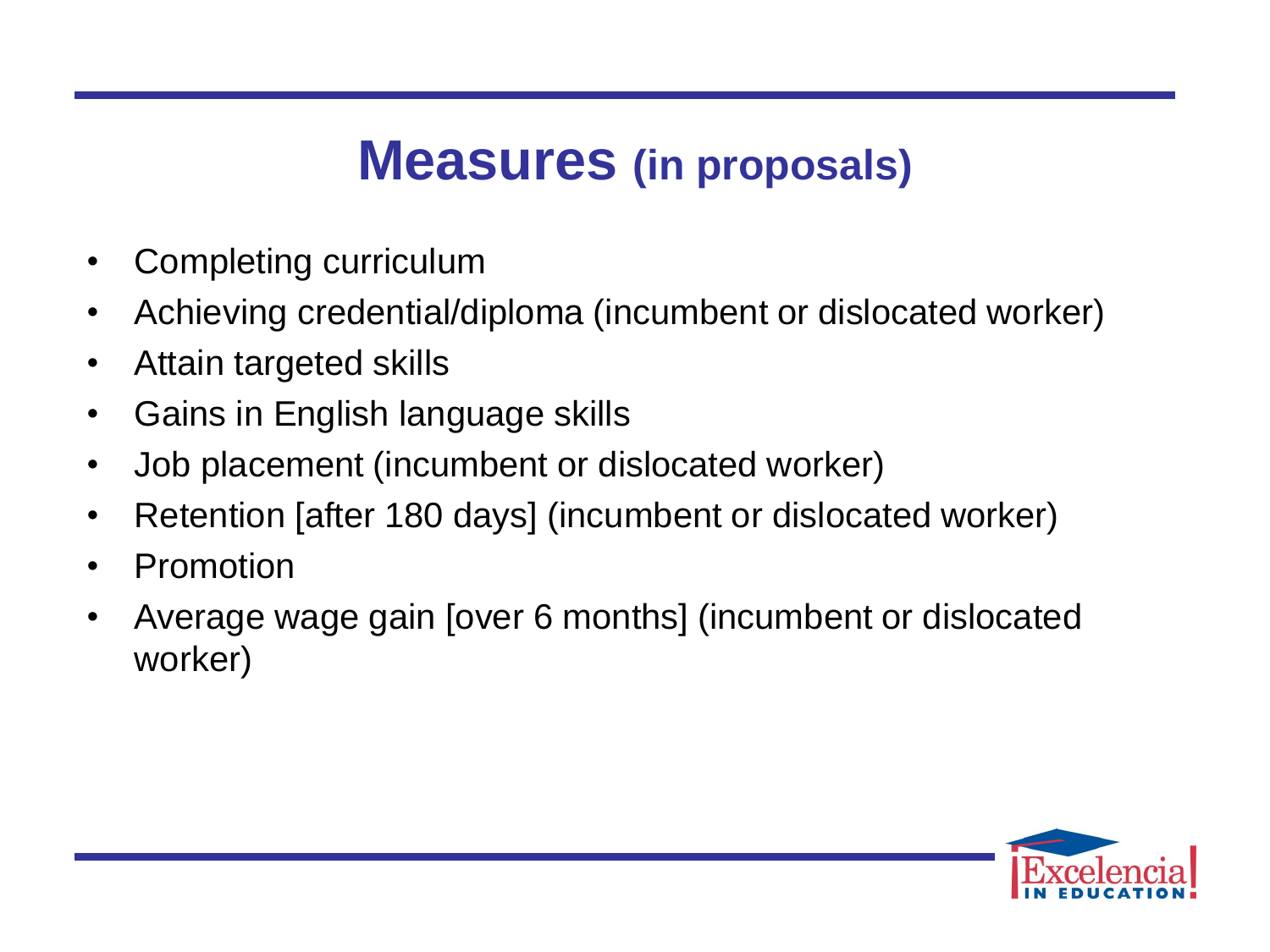#### **Measures (in proposals)**

- Completing curriculum
- Achieving credential/diploma (incumbent or dislocated worker)
- Attain targeted skills
- Gains in English language skills
- • Job placement (incumbent or dislocated worker)
- Retention [after 180 days] (incumbent or dislocated worker)
- Promotion
- • Average wage gain [over 6 months] (incumbent or dislocated worker)

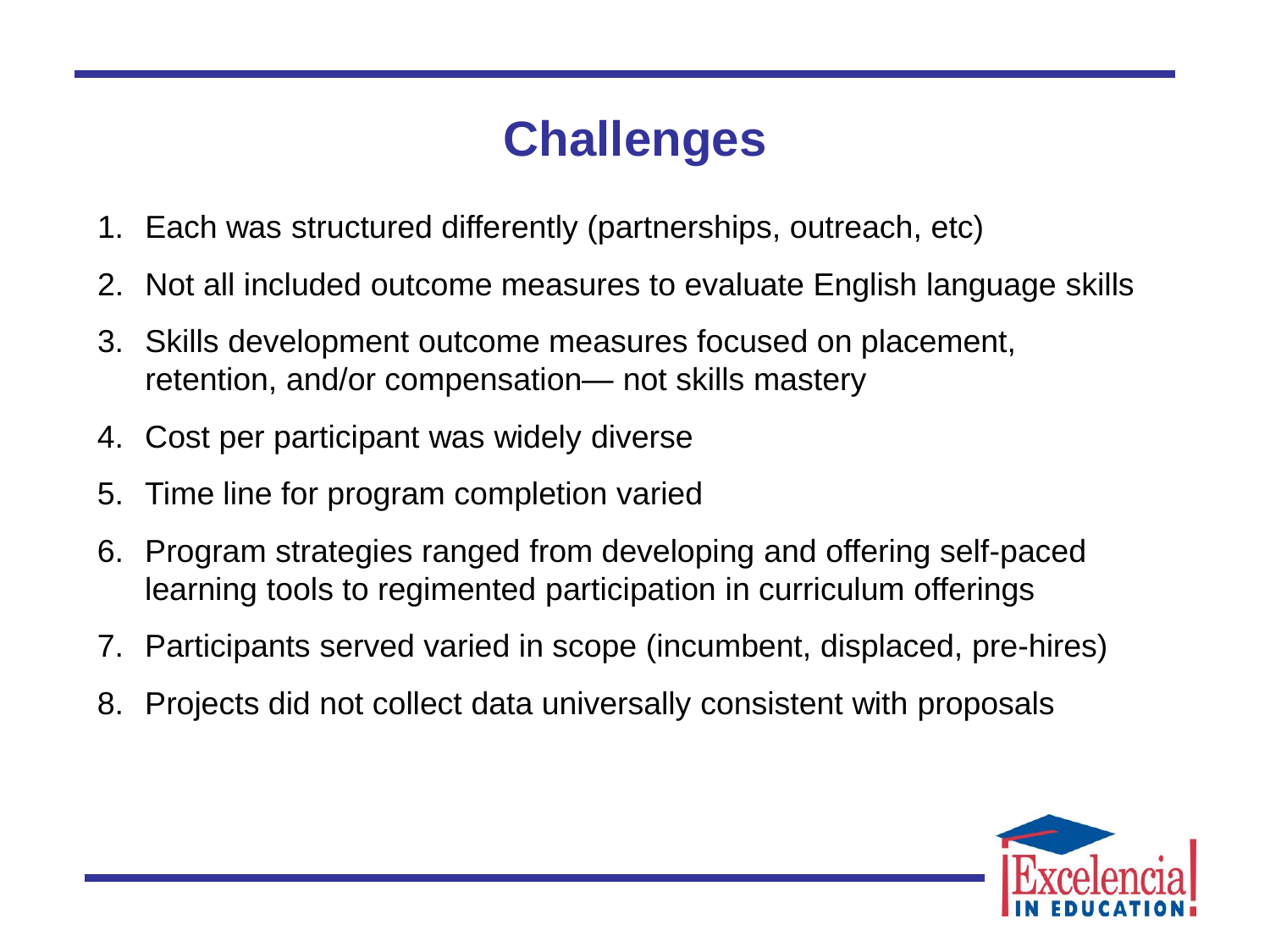#### **Challenges**

- 1. Each was structured differently (partnerships, outreach, etc)
- 2. Not all included outcome measures to evaluate English language skills
- 3. Skills development outcome measures focused on placement, retention, and/or compensation— not skills mastery
- 4. Cost per participant was widely diverse
- 5. Time line for program completion varied
- 6. Program strategies ranged from developing and offering self-paced learning tools to regimented participation in curriculum offerings
- 7. Participants served varied in scope (incumbent, displaced, pre-hires)
- 8. Projects did not collect data universally consistent with proposals

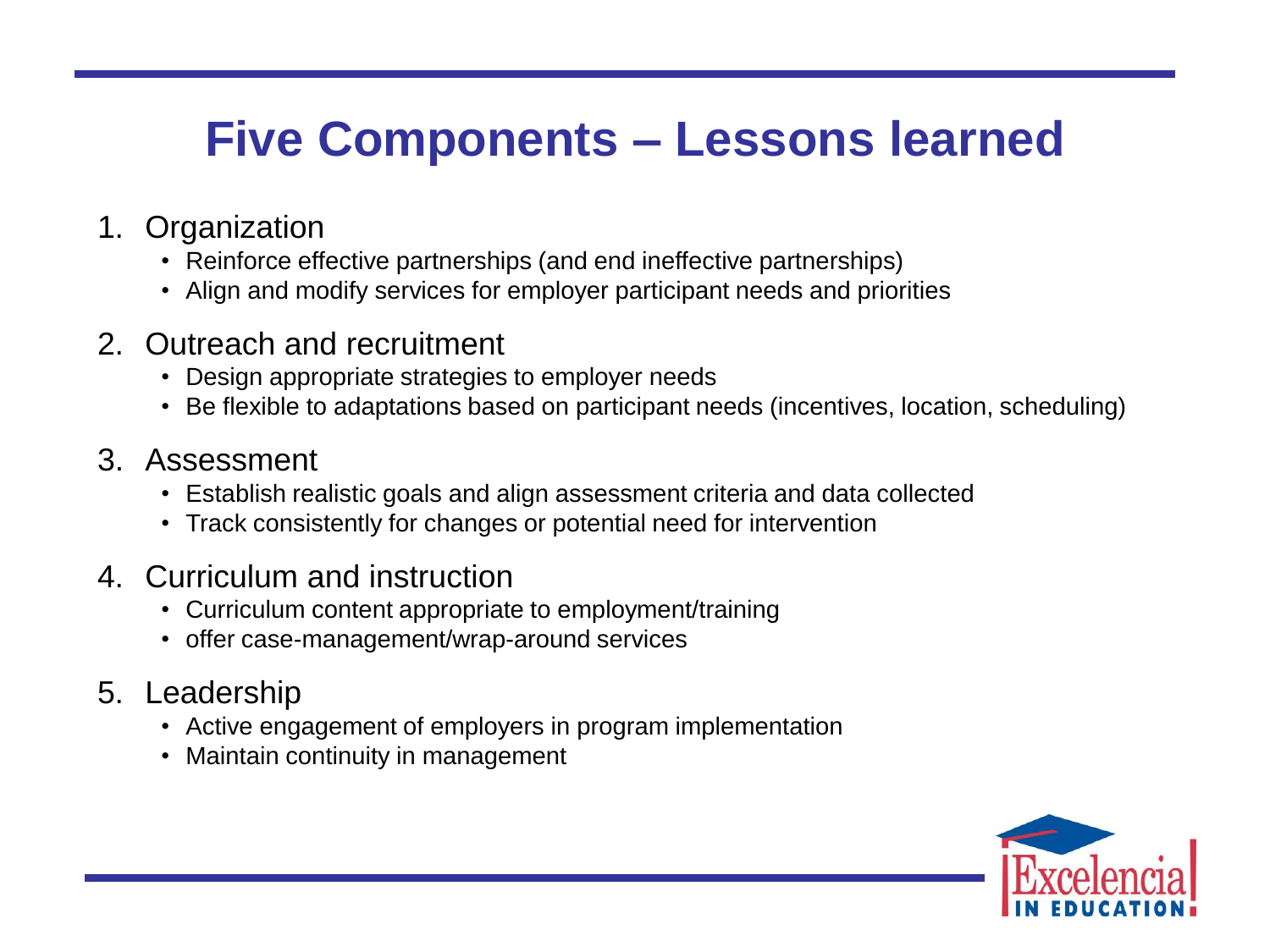#### **Five Components – Lessons learned**

- 1. Organization
	- Reinforce effective partnerships (and end ineffective partnerships)
	- Align and modify services for employer participant needs and priorities
- 2. Outreach and recruitment
	- Design appropriate strategies to employer needs
	- Be flexible to adaptations based on participant needs (incentives, location, scheduling)
- 3. Assessment
	- Establish realistic goals and align assessment criteria and data collected
	- Track consistently for changes or potential need for intervention
- 4. Curriculum and instruction
	- Curriculum content appropriate to employment/training
	- offer case-management/wrap-around services
- 5. Leadership
	- Active engagement of employers in program implementation
	- Maintain continuity in management